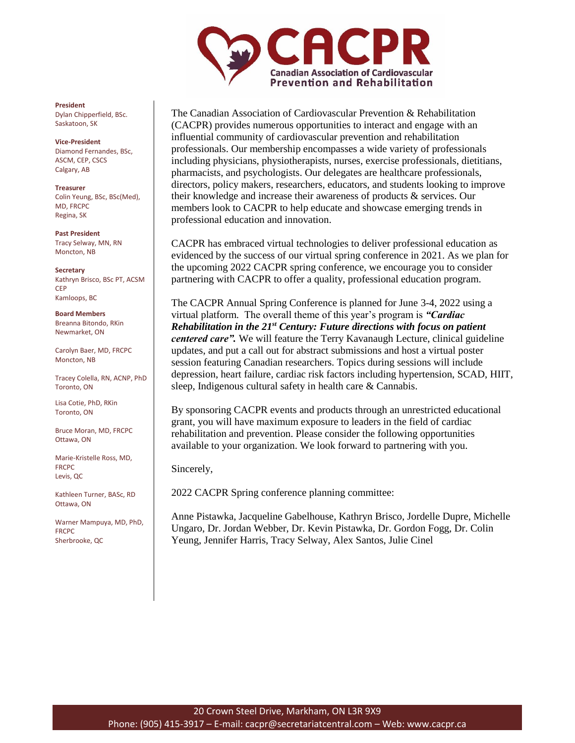

The Canadian Association of Cardiovascular Prevention & Rehabilitation (CACPR) provides numerous opportunities to interact and engage with an influential community of cardiovascular prevention and rehabilitation professionals. Our membership encompasses a wide variety of professionals including physicians, physiotherapists, nurses, exercise professionals, dietitians, pharmacists, and psychologists. Our delegates are healthcare professionals, directors, policy makers, researchers, educators, and students looking to improve their knowledge and increase their awareness of products & services. Our members look to CACPR to help educate and showcase emerging trends in professional education and innovation.

CACPR has embraced virtual technologies to deliver professional education as evidenced by the success of our virtual spring conference in 2021. As we plan for the upcoming 2022 CACPR spring conference, we encourage you to consider partnering with CACPR to offer a quality, professional education program.

The CACPR Annual Spring Conference is planned for June 3-4, 2022 using a virtual platform. The overall theme of this year's program is *"Cardiac Rehabilitation in the 21st Century: Future directions with focus on patient centered care".* We will feature the Terry Kavanaugh Lecture, clinical guideline updates, and put a call out for abstract submissions and host a virtual poster session featuring Canadian researchers. Topics during sessions will include depression, heart failure, cardiac risk factors including hypertension, SCAD, HIIT, sleep, Indigenous cultural safety in health care & Cannabis.

By sponsoring CACPR events and products through an unrestricted educational grant, you will have maximum exposure to leaders in the field of cardiac rehabilitation and prevention. Please consider the following opportunities available to your organization. We look forward to partnering with you.

Sincerely,

2022 CACPR Spring conference planning committee:

Anne Pistawka, Jacqueline Gabelhouse, Kathryn Brisco, Jordelle Dupre, Michelle Ungaro, Dr. Jordan Webber, Dr. Kevin Pistawka, Dr. Gordon Fogg, Dr. Colin Yeung, Jennifer Harris, Tracy Selway, Alex Santos, Julie Cinel

**President** Dylan Chipperfield, BSc. Saskatoon, SK

**Vice-President** Diamond Fernandes, BSc, ASCM, CEP, CSCS Calgary, AB

**Treasurer** Colin Yeung, BSc, BSc(Med), MD, FRCPC Regina, SK

**Past President** Tracy Selway, MN, RN Moncton, NB

**Secretary** Kathryn Brisco, BSc PT, ACSM CEP Kamloops, BC

**Board Members** Breanna Bitondo, RKin Newmarket, ON

Carolyn Baer, MD, FRCPC Moncton, NB

Tracey Colella, RN, ACNP, PhD Toronto, ON

Lisa Cotie, PhD, RKin Toronto, ON

Bruce Moran, MD, FRCPC Ottawa, ON

Marie-Kristelle Ross, MD, FRCPC Levis, QC

Kathleen Turner, BASc, RD Ottawa, ON

Warner Mampuya, MD, PhD, FRCPC Sherbrooke, QC